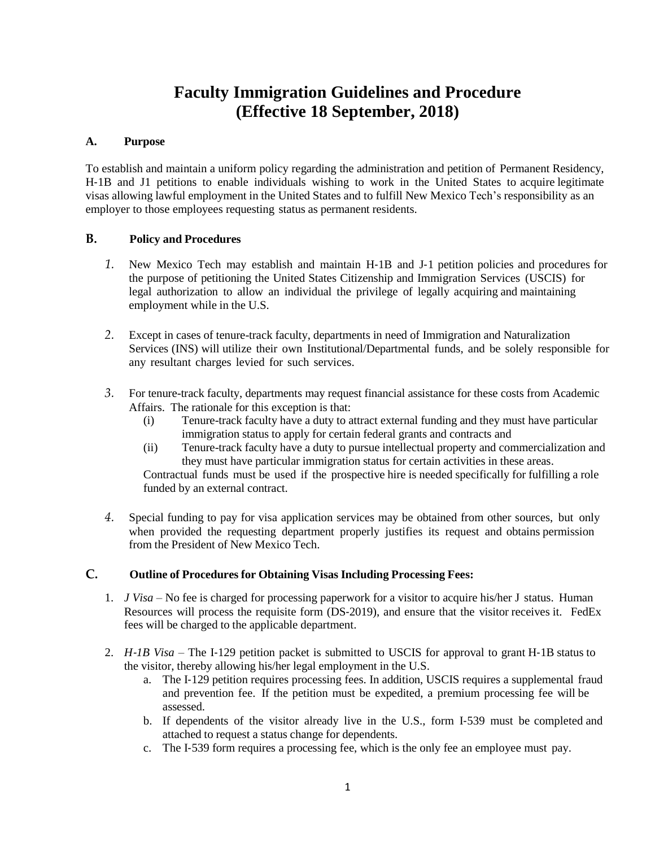## **Faculty Immigration Guidelines and Procedure (Effective 18 September, 2018)**

## **A. Purpose**

To establish and maintain a uniform policy regarding the administration and petition of Permanent Residency, H-1B and J1 petitions to enable individuals wishing to work in the United States to acquire legitimate visas allowing lawful employment in the United States and to fulfill New Mexico Tech's responsibility as an employer to those employees requesting status as permanent residents.

## **B. Policy and Procedures**

- *1.* New Mexico Tech may establish and maintain H‐1B and J‐1 petition policies and procedures for the purpose of petitioning the United States Citizenship and Immigration Services (USCIS) for legal authorization to allow an individual the privilege of legally acquiring and maintaining employment while in the U.S.
- *2.* Except in cases of tenure-track faculty, departments in need of Immigration and Naturalization Services (INS) will utilize their own Institutional/Departmental funds, and be solely responsible for any resultant charges levied for such services.
- *3.* For tenure-track faculty, departments may request financial assistance for these costs from Academic Affairs. The rationale for this exception is that:
	- (i) Tenure-track faculty have a duty to attract external funding and they must have particular immigration status to apply for certain federal grants and contracts and
	- (ii) Tenure-track faculty have a duty to pursue intellectual property and commercialization and they must have particular immigration status for certain activities in these areas.

Contractual funds must be used if the prospective hire is needed specifically for fulfilling a role funded by an external contract.

*4.* Special funding to pay for visa application services may be obtained from other sources, but only when provided the requesting department properly justifies its request and obtains permission from the President of New Mexico Tech.

## **C. Outline of Procedures for Obtaining Visas Including Processing Fees:**

- 1. *J Visa*  No fee is charged for processing paperwork for a visitor to acquire his/her J status. Human Resources will process the requisite form (DS‐2019), and ensure that the visitor receives it. FedEx fees will be charged to the applicable department.
- 2. *H*–*IB Visa* The I-129 petition packet is submitted to USCIS for approval to grant H-1B status to the visitor, thereby allowing his/her legal employment in the U.S.
	- a. The I‐129 petition requires processing fees. In addition, USCIS requires a supplemental fraud and prevention fee. If the petition must be expedited, a premium processing fee will be assessed.
	- b. If dependents of the visitor already live in the U.S., form I‐539 must be completed and attached to request a status change for dependents.
	- c. The I‐539 form requires a processing fee, which is the only fee an employee must pay.